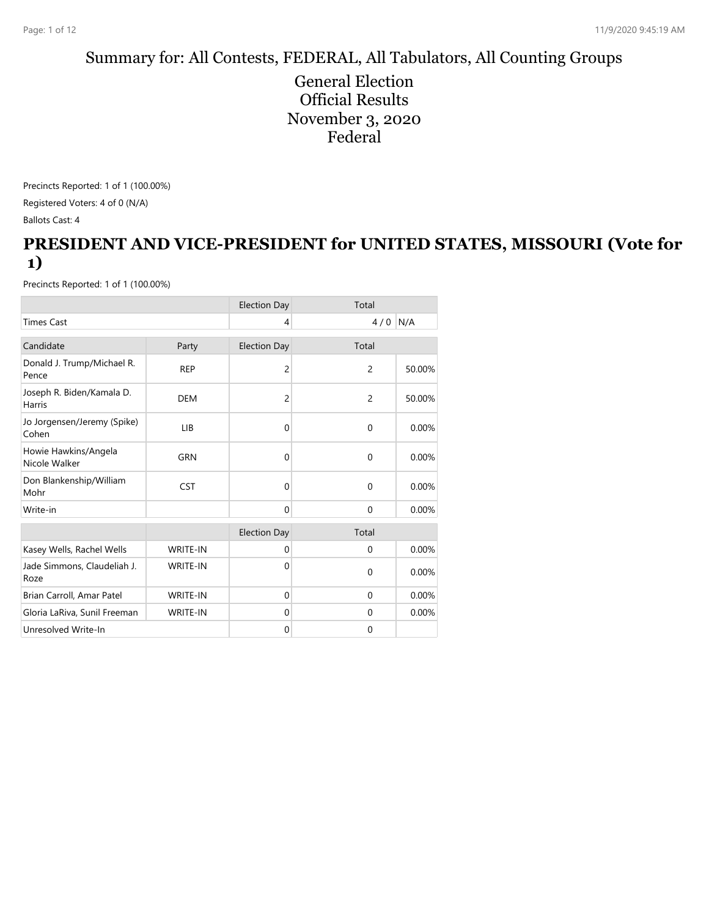#### Summary for: All Contests, FEDERAL, All Tabulators, All Counting Groups

General Election Official Results November 3, 2020 Federal

Precincts Reported: 1 of 1 (100.00%) Registered Voters: 4 of 0 (N/A) Ballots Cast: 4

### **PRESIDENT AND VICE-PRESIDENT for UNITED STATES, MISSOURI (Vote for 1)**

|                                       |                 | <b>Election Day</b> | Total        |          |
|---------------------------------------|-----------------|---------------------|--------------|----------|
| <b>Times Cast</b>                     |                 | 4                   | $4/0$ N/A    |          |
| Candidate                             | Party           | <b>Election Day</b> | Total        |          |
| Donald J. Trump/Michael R.<br>Pence   | <b>REP</b>      | $\overline{c}$      | 2            | 50.00%   |
| Joseph R. Biden/Kamala D.<br>Harris   | <b>DEM</b>      | 2                   | 2            | 50.00%   |
| Jo Jorgensen/Jeremy (Spike)<br>Cohen  | <b>LIB</b>      | $\Omega$            | $\Omega$     | 0.00%    |
| Howie Hawkins/Angela<br>Nicole Walker | <b>GRN</b>      | $\Omega$            | $\Omega$     | 0.00%    |
| Don Blankenship/William<br>Mohr       | <b>CST</b>      | $\Omega$            | $\mathbf{0}$ | 0.00%    |
| Write-in                              |                 | $\Omega$            | $\Omega$     | $0.00\%$ |
|                                       |                 | <b>Election Day</b> | Total        |          |
| Kasey Wells, Rachel Wells             | <b>WRITE-IN</b> | $\mathbf{0}$        | $\mathbf 0$  | 0.00%    |
| Jade Simmons, Claudeliah J.<br>Roze   | <b>WRITE-IN</b> | 0                   | $\Omega$     | 0.00%    |
| Brian Carroll, Amar Patel             | <b>WRITE-IN</b> | $\Omega$            | $\Omega$     | 0.00%    |
| Gloria LaRiva, Sunil Freeman          | <b>WRITE-IN</b> | $\mathbf{0}$        | $\mathbf{0}$ | 0.00%    |
| Unresolved Write-In                   |                 | $\mathbf{0}$        | $\mathbf 0$  |          |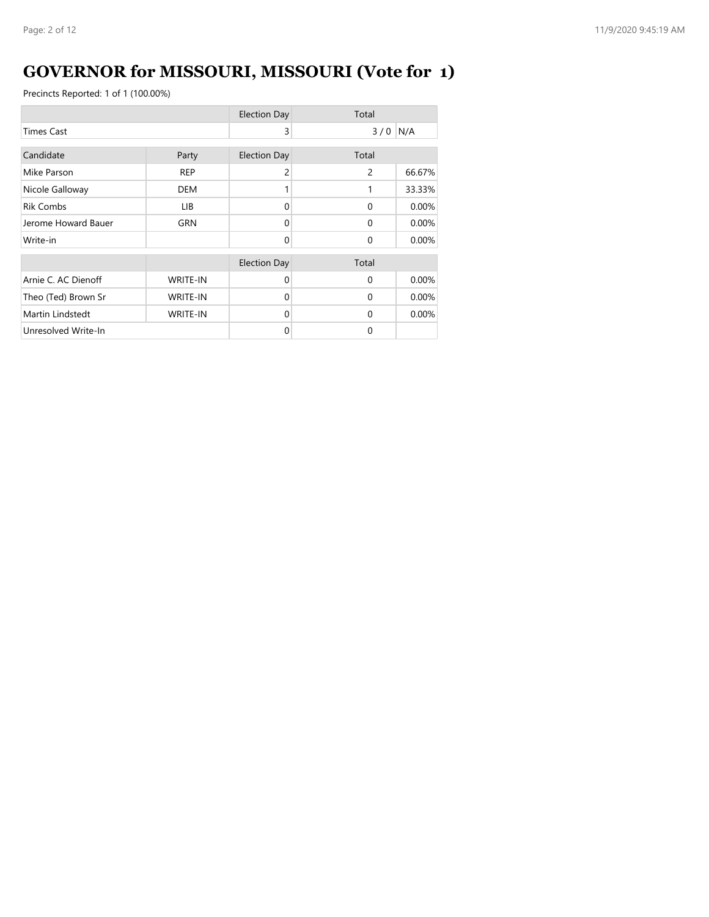# **GOVERNOR for MISSOURI, MISSOURI (Vote for 1)**

|                     |                 | <b>Election Day</b> | Total          |        |
|---------------------|-----------------|---------------------|----------------|--------|
| <b>Times Cast</b>   |                 | 3                   | $3/0$ N/A      |        |
| Candidate           | Party           | <b>Election Day</b> | Total          |        |
| Mike Parson         | <b>REP</b>      | 2                   | $\overline{c}$ | 66.67% |
| Nicole Galloway     | <b>DEM</b>      | 1                   | 1              | 33.33% |
| <b>Rik Combs</b>    | LIB.            | $\Omega$            | $\Omega$       | 0.00%  |
| Jerome Howard Bauer | <b>GRN</b>      | 0                   | $\Omega$       | 0.00%  |
| Write-in            |                 | $\Omega$            | $\Omega$       | 0.00%  |
|                     |                 | <b>Election Day</b> | Total          |        |
| Arnie C. AC Dienoff | <b>WRITE-IN</b> | $\Omega$            | $\Omega$       | 0.00%  |
| Theo (Ted) Brown Sr | <b>WRITE-IN</b> | $\Omega$            | $\Omega$       | 0.00%  |
| Martin Lindstedt    | <b>WRITE-IN</b> | $\Omega$            | $\Omega$       | 0.00%  |
| Unresolved Write-In |                 | 0                   | $\Omega$       |        |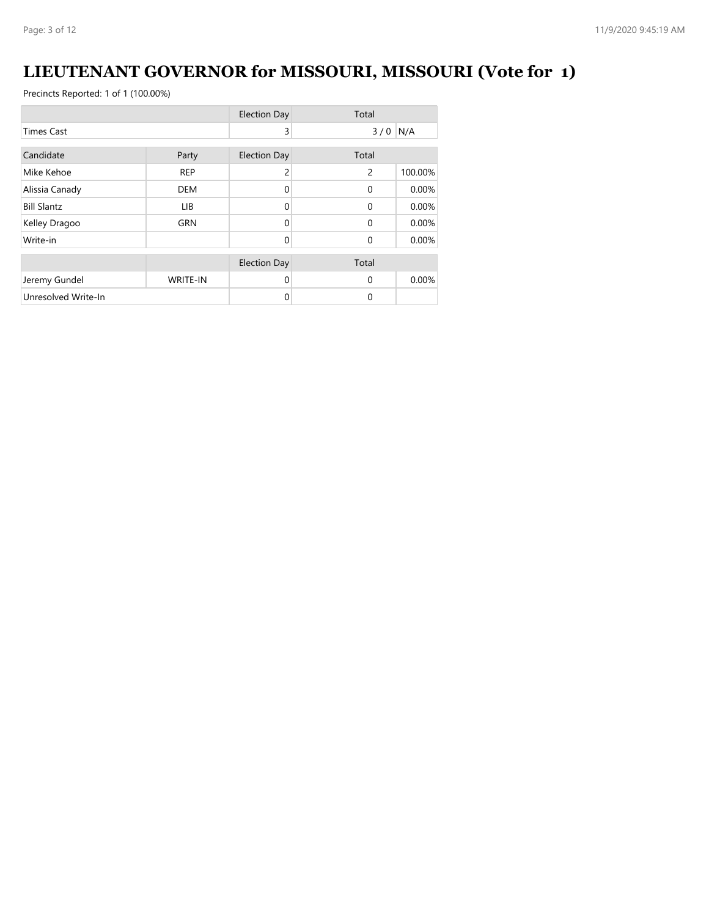# **LIEUTENANT GOVERNOR for MISSOURI, MISSOURI (Vote for 1)**

|                     |                 | <b>Election Day</b> | Total          |         |
|---------------------|-----------------|---------------------|----------------|---------|
| <b>Times Cast</b>   |                 | 3                   | 3/0            | N/A     |
| Candidate           | Party           | <b>Election Day</b> | Total          |         |
|                     |                 |                     |                |         |
| Mike Kehoe          | <b>REP</b>      | 2                   | $\overline{2}$ | 100.00% |
| Alissia Canady      | <b>DEM</b>      | $\Omega$            | $\Omega$       | 0.00%   |
| <b>Bill Slantz</b>  | LIB.            | $\Omega$            | $\Omega$       | 0.00%   |
| Kelley Dragoo       | <b>GRN</b>      | 0                   | $\Omega$       | 0.00%   |
| Write-in            |                 | $\Omega$            | $\Omega$       | 0.00%   |
|                     |                 | <b>Election Day</b> | Total          |         |
| Jeremy Gundel       | <b>WRITE-IN</b> | $\Omega$            | $\Omega$       | 0.00%   |
| Unresolved Write-In |                 | 0                   | $\Omega$       |         |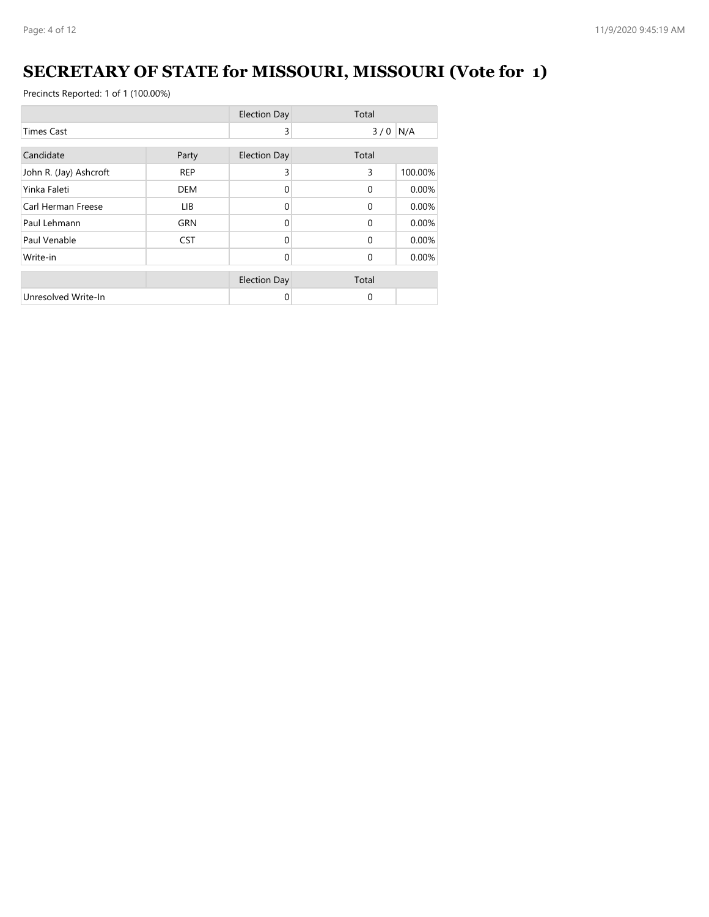# **SECRETARY OF STATE for MISSOURI, MISSOURI (Vote for 1)**

|                        |            | <b>Election Day</b> | Total    |         |
|------------------------|------------|---------------------|----------|---------|
| <b>Times Cast</b>      |            | 3                   | 3/0      | N/A     |
| Candidate              | Party      | <b>Election Day</b> | Total    |         |
| John R. (Jay) Ashcroft | <b>REP</b> | 3                   | 3        | 100.00% |
| Yinka Faleti           | <b>DEM</b> | 0                   | $\Omega$ | 0.00%   |
| Carl Herman Freese     | LIB        | $\Omega$            | $\Omega$ | 0.00%   |
| Paul Lehmann           | <b>GRN</b> | $\Omega$            | $\Omega$ | 0.00%   |
| Paul Venable           | <b>CST</b> | 0                   | $\Omega$ | 0.00%   |
| Write-in               |            | $\Omega$            | $\Omega$ | 0.00%   |
|                        |            | <b>Election Day</b> | Total    |         |
| Unresolved Write-In    |            | 0                   | 0        |         |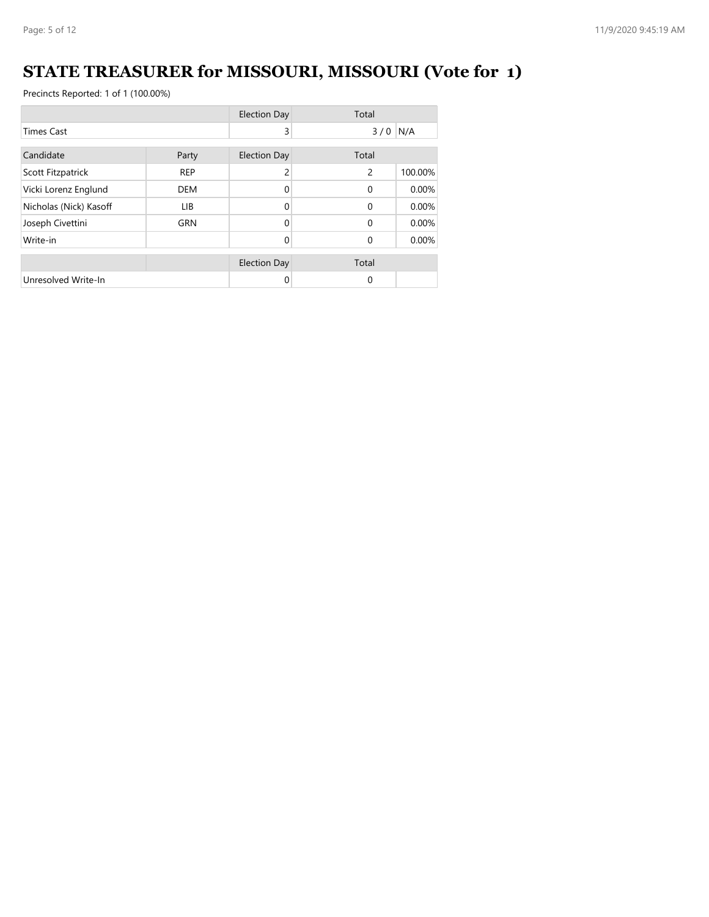# **STATE TREASURER for MISSOURI, MISSOURI (Vote for 1)**

|                        |            | <b>Election Day</b> | Total          |         |
|------------------------|------------|---------------------|----------------|---------|
| <b>Times Cast</b>      |            | 3                   | $3/0$ N/A      |         |
| Candidate              | Party      | <b>Election Day</b> | Total          |         |
| Scott Fitzpatrick      | <b>REP</b> | 2                   | $\overline{2}$ | 100.00% |
| Vicki Lorenz Englund   | <b>DEM</b> | $\Omega$            | $\Omega$       | 0.00%   |
| Nicholas (Nick) Kasoff | LIB.       | $\Omega$            | $\Omega$       | 0.00%   |
| Joseph Civettini       | <b>GRN</b> | $\Omega$            | $\Omega$       | 0.00%   |
| Write-in               |            | 0                   | $\Omega$       | 0.00%   |
|                        |            | <b>Election Day</b> | Total          |         |
| Unresolved Write-In    |            | 0                   | $\Omega$       |         |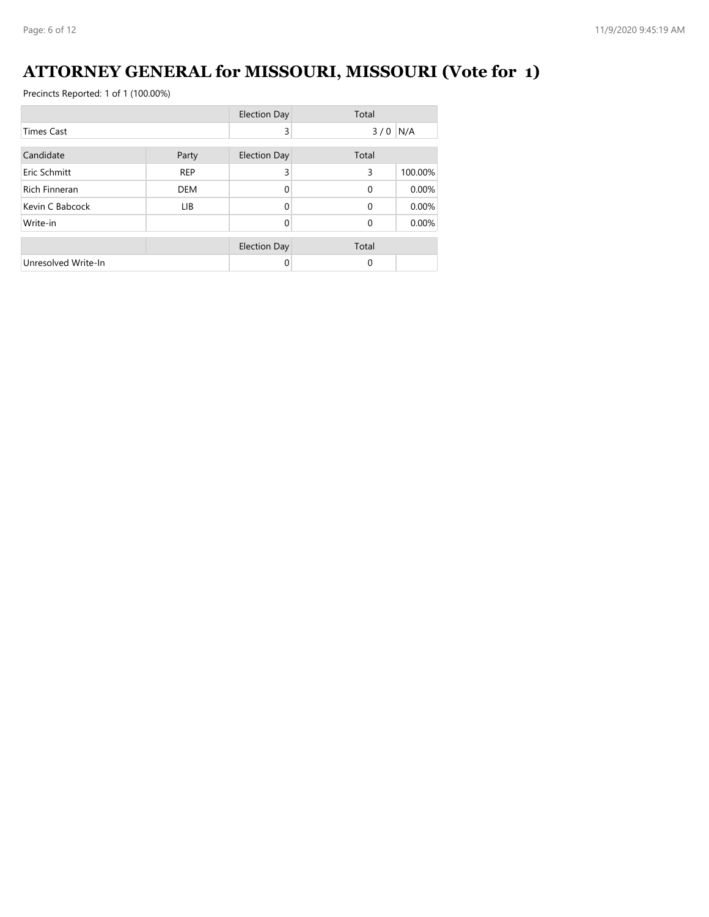# **ATTORNEY GENERAL for MISSOURI, MISSOURI (Vote for 1)**

|                      |            | <b>Election Day</b> | Total     |         |
|----------------------|------------|---------------------|-----------|---------|
| <b>Times Cast</b>    |            | 3                   | $3/0$ N/A |         |
| Candidate            | Party      | <b>Election Day</b> | Total     |         |
| Eric Schmitt         | <b>REP</b> | 3                   | 3         | 100.00% |
| <b>Rich Finneran</b> | <b>DEM</b> | $\Omega$            | $\Omega$  | 0.00%   |
| Kevin C Babcock      | LIB.       | 0                   | $\Omega$  | 0.00%   |
| Write-in             |            | 0                   | $\Omega$  | 0.00%   |
|                      |            | <b>Election Day</b> | Total     |         |
| Unresolved Write-In  |            | 0                   | $\Omega$  |         |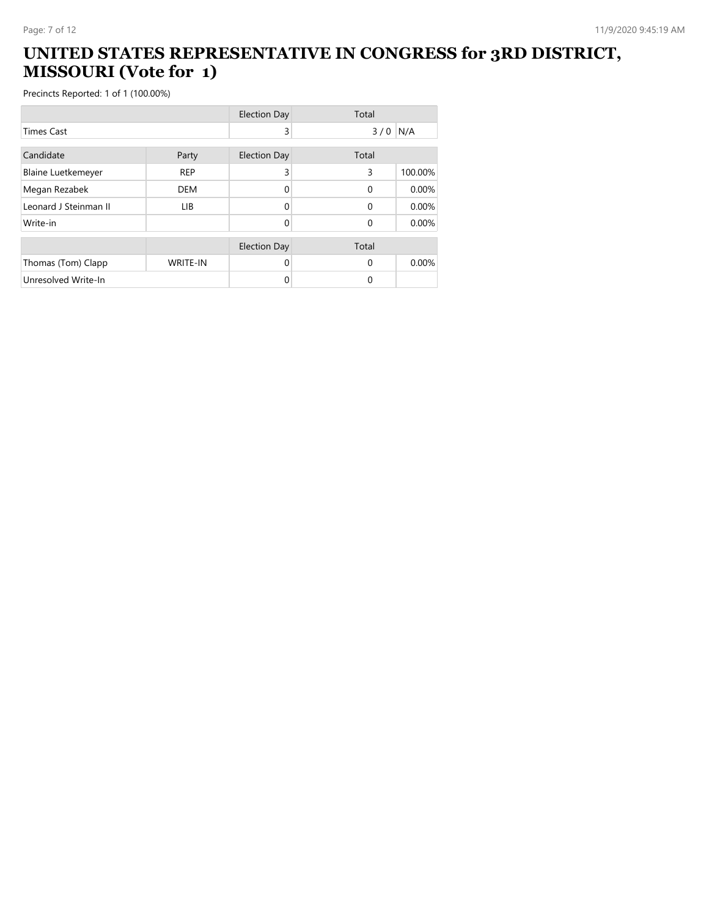#### **UNITED STATES REPRESENTATIVE IN CONGRESS for 3RD DISTRICT, MISSOURI (Vote for 1)**

|                           |            | <b>Election Day</b> | Total    |         |
|---------------------------|------------|---------------------|----------|---------|
| <b>Times Cast</b>         |            | 3                   | 3/0      | N/A     |
| Candidate                 | Party      | <b>Election Day</b> | Total    |         |
| <b>Blaine Luetkemeyer</b> | <b>REP</b> | 3                   | 3        | 100.00% |
| Megan Rezabek             | <b>DEM</b> | 0                   | $\Omega$ | 0.00%   |
| Leonard J Steinman II     | LIB.       | 0                   | $\Omega$ | 0.00%   |
| Write-in                  |            | 0                   | $\Omega$ | 0.00%   |
|                           |            | <b>Election Day</b> | Total    |         |
| Thomas (Tom) Clapp        | WRITE-IN   | $\Omega$            | $\Omega$ | 0.00%   |
| Unresolved Write-In       |            | 0                   | $\Omega$ |         |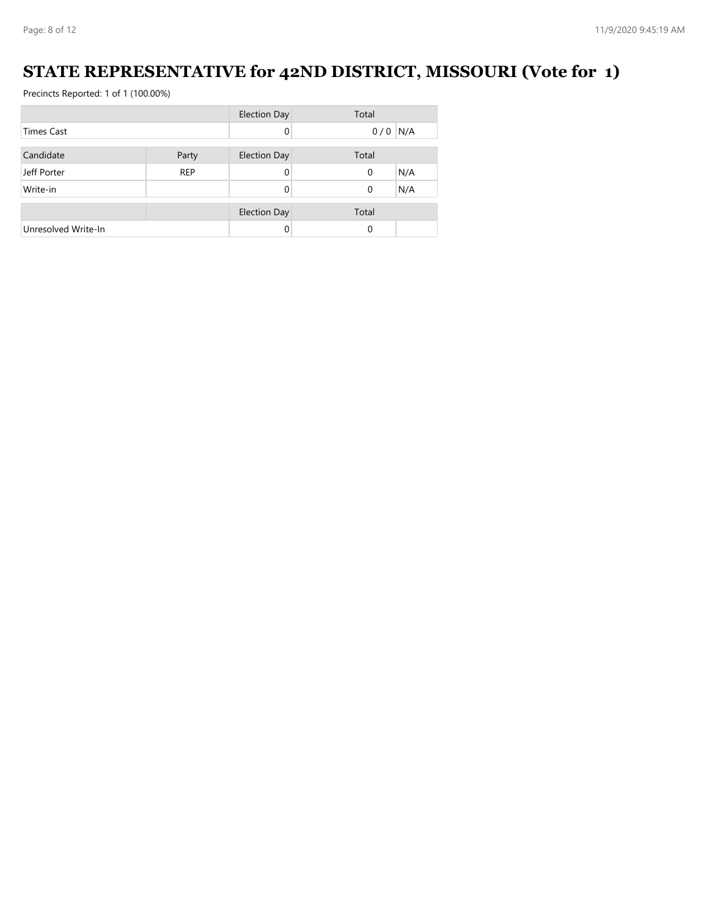### **STATE REPRESENTATIVE for 42ND DISTRICT, MISSOURI (Vote for 1)**

|                     |            | <b>Election Day</b> | Total              |
|---------------------|------------|---------------------|--------------------|
| <b>Times Cast</b>   |            | $\Omega$            | N/A<br>0/0         |
|                     |            |                     |                    |
| Candidate           | Party      | <b>Election Day</b> | Total              |
| Jeff Porter         | <b>REP</b> | 0                   | N/A<br>$\mathbf 0$ |
| Write-in            |            |                     | N/A<br>0           |
|                     |            |                     |                    |
|                     |            | <b>Election Day</b> | Total              |
| Unresolved Write-In |            |                     | $\Omega$           |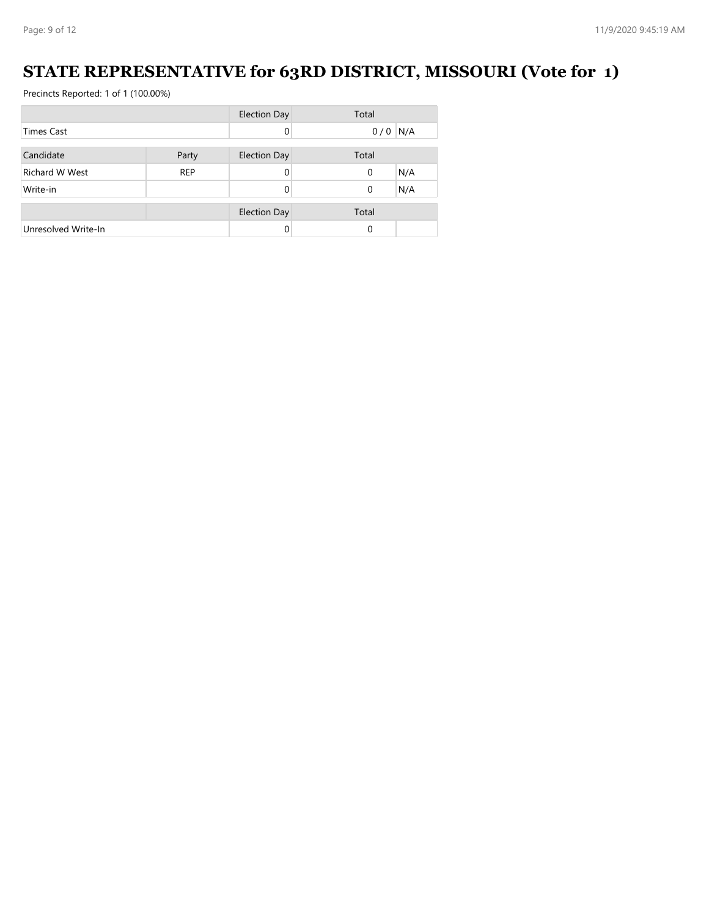### **STATE REPRESENTATIVE for 63RD DISTRICT, MISSOURI (Vote for 1)**

|                       |            | <b>Election Day</b> | Total           |
|-----------------------|------------|---------------------|-----------------|
| <b>Times Cast</b>     |            | 0                   | N/A<br>0/0      |
|                       |            |                     |                 |
| Candidate             | Party      | <b>Election Day</b> | Total           |
| <b>Richard W West</b> | <b>REP</b> | 0                   | N/A<br>0        |
| Write-in              |            |                     | N/A<br>$\Omega$ |
|                       |            |                     |                 |
|                       |            | <b>Election Day</b> | Total           |
| Unresolved Write-In   |            |                     | $\Omega$        |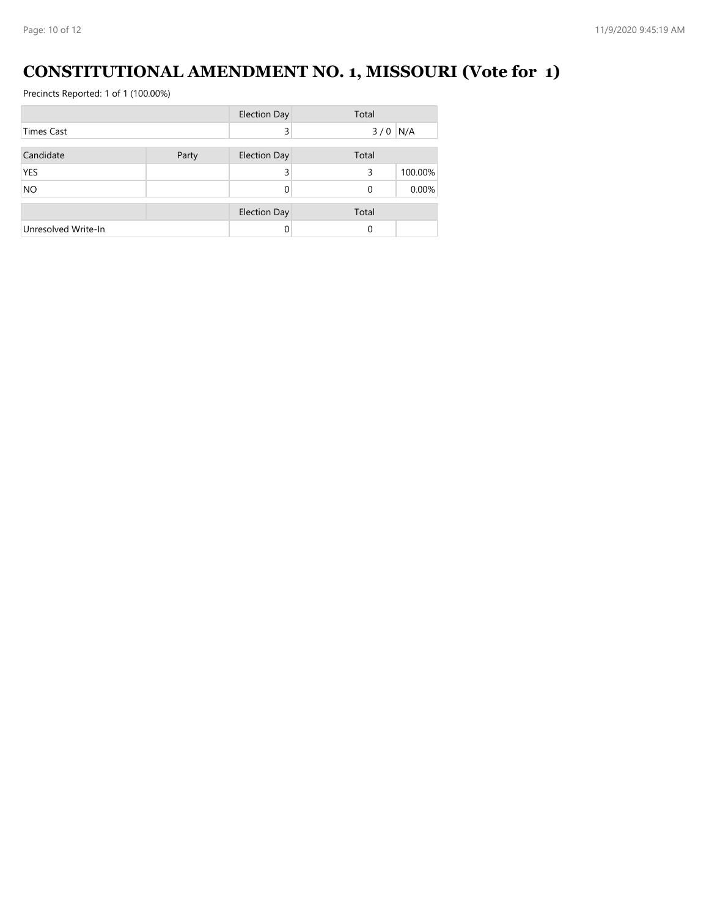# **CONSTITUTIONAL AMENDMENT NO. 1, MISSOURI (Vote for 1)**

|                     |       | <b>Election Day</b> | Total     |         |
|---------------------|-------|---------------------|-----------|---------|
| Times Cast          |       | 3                   | $3/0$ N/A |         |
| Candidate           | Party | <b>Election Day</b> | Total     |         |
| <b>YES</b>          |       | 3                   | 3         | 100.00% |
| <b>NO</b>           |       |                     | 0         | 0.00%   |
|                     |       | <b>Election Day</b> | Total     |         |
| Unresolved Write-In |       |                     | 0         |         |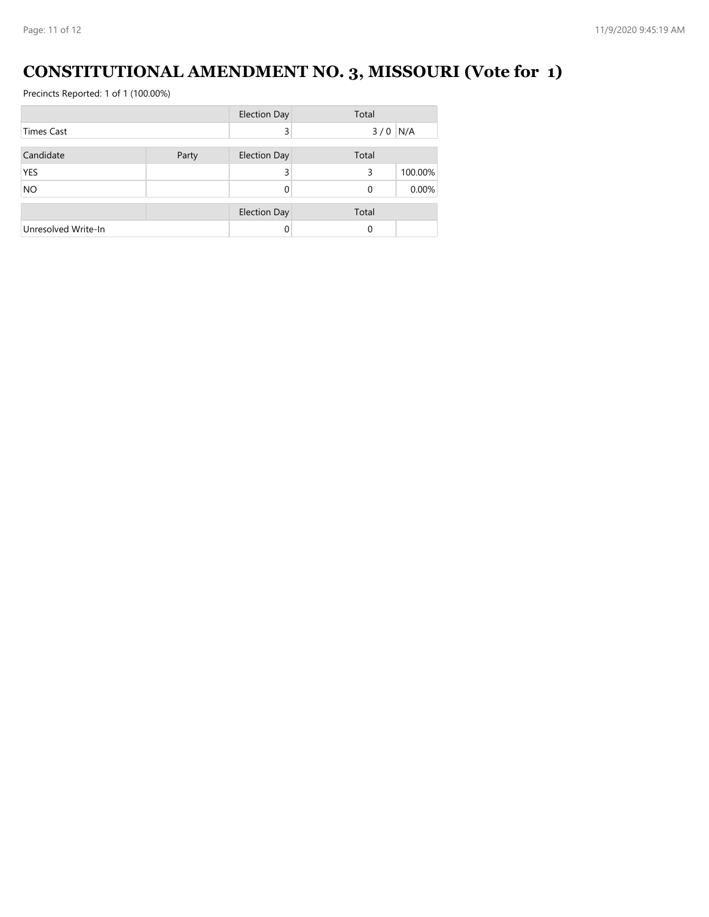# **CONSTITUTIONAL AMENDMENT NO. 3, MISSOURI (Vote for 1)**

|                     |       | <b>Election Day</b> | Total     |         |
|---------------------|-------|---------------------|-----------|---------|
| <b>Times Cast</b>   |       | 3                   | $3/0$ N/A |         |
| Candidate           | Party | <b>Election Day</b> | Total     |         |
| <b>YES</b>          |       | 3                   | 3         | 100.00% |
| <b>NO</b>           |       |                     | 0         | 0.00%   |
|                     |       | <b>Election Day</b> | Total     |         |
| Unresolved Write-In |       |                     | 0         |         |